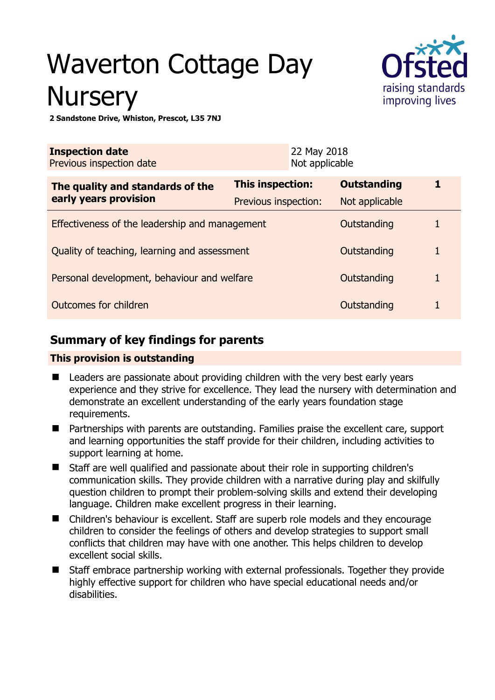# Waverton Cottage Day **Nursery**



**2 Sandstone Drive, Whiston, Prescot, L35 7NJ** 

| <b>Inspection date</b><br>Previous inspection date |                      | 22 May 2018<br>Not applicable |                    |   |
|----------------------------------------------------|----------------------|-------------------------------|--------------------|---|
| The quality and standards of the                   | This inspection:     |                               | <b>Outstanding</b> | 1 |
| early years provision                              | Previous inspection: |                               | Not applicable     |   |
| Effectiveness of the leadership and management     |                      |                               | Outstanding        |   |
| Quality of teaching, learning and assessment       |                      |                               | Outstanding        | 1 |
| Personal development, behaviour and welfare        |                      |                               | Outstanding        | 1 |
| Outcomes for children                              |                      |                               | Outstanding        |   |

# **Summary of key findings for parents**

## **This provision is outstanding**

- Leaders are passionate about providing children with the very best early years experience and they strive for excellence. They lead the nursery with determination and demonstrate an excellent understanding of the early years foundation stage requirements.
- Partnerships with parents are outstanding. Families praise the excellent care, support and learning opportunities the staff provide for their children, including activities to support learning at home.
- Staff are well qualified and passionate about their role in supporting children's communication skills. They provide children with a narrative during play and skilfully question children to prompt their problem-solving skills and extend their developing language. Children make excellent progress in their learning.
- Children's behaviour is excellent. Staff are superb role models and they encourage children to consider the feelings of others and develop strategies to support small conflicts that children may have with one another. This helps children to develop excellent social skills.
- Staff embrace partnership working with external professionals. Together they provide highly effective support for children who have special educational needs and/or disabilities.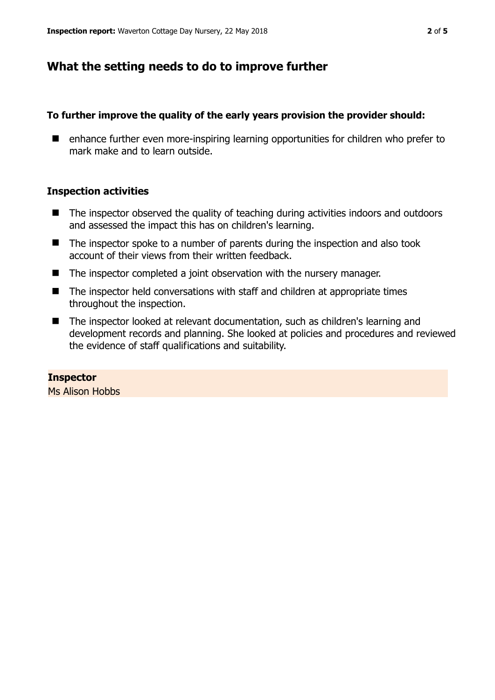## **What the setting needs to do to improve further**

### **To further improve the quality of the early years provision the provider should:**

■ enhance further even more-inspiring learning opportunities for children who prefer to mark make and to learn outside.

## **Inspection activities**

- The inspector observed the quality of teaching during activities indoors and outdoors and assessed the impact this has on children's learning.
- The inspector spoke to a number of parents during the inspection and also took account of their views from their written feedback.
- The inspector completed a joint observation with the nursery manager.
- The inspector held conversations with staff and children at appropriate times throughout the inspection.
- The inspector looked at relevant documentation, such as children's learning and development records and planning. She looked at policies and procedures and reviewed the evidence of staff qualifications and suitability.

**Inspector**  Ms Alison Hobbs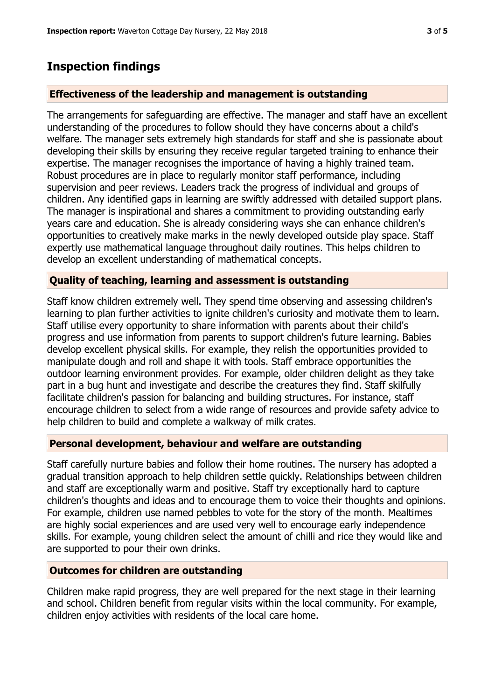# **Inspection findings**

## **Effectiveness of the leadership and management is outstanding**

The arrangements for safeguarding are effective. The manager and staff have an excellent understanding of the procedures to follow should they have concerns about a child's welfare. The manager sets extremely high standards for staff and she is passionate about developing their skills by ensuring they receive regular targeted training to enhance their expertise. The manager recognises the importance of having a highly trained team. Robust procedures are in place to regularly monitor staff performance, including supervision and peer reviews. Leaders track the progress of individual and groups of children. Any identified gaps in learning are swiftly addressed with detailed support plans. The manager is inspirational and shares a commitment to providing outstanding early years care and education. She is already considering ways she can enhance children's opportunities to creatively make marks in the newly developed outside play space. Staff expertly use mathematical language throughout daily routines. This helps children to develop an excellent understanding of mathematical concepts.

## **Quality of teaching, learning and assessment is outstanding**

Staff know children extremely well. They spend time observing and assessing children's learning to plan further activities to ignite children's curiosity and motivate them to learn. Staff utilise every opportunity to share information with parents about their child's progress and use information from parents to support children's future learning. Babies develop excellent physical skills. For example, they relish the opportunities provided to manipulate dough and roll and shape it with tools. Staff embrace opportunities the outdoor learning environment provides. For example, older children delight as they take part in a bug hunt and investigate and describe the creatures they find. Staff skilfully facilitate children's passion for balancing and building structures. For instance, staff encourage children to select from a wide range of resources and provide safety advice to help children to build and complete a walkway of milk crates.

### **Personal development, behaviour and welfare are outstanding**

Staff carefully nurture babies and follow their home routines. The nursery has adopted a gradual transition approach to help children settle quickly. Relationships between children and staff are exceptionally warm and positive. Staff try exceptionally hard to capture children's thoughts and ideas and to encourage them to voice their thoughts and opinions. For example, children use named pebbles to vote for the story of the month. Mealtimes are highly social experiences and are used very well to encourage early independence skills. For example, young children select the amount of chilli and rice they would like and are supported to pour their own drinks.

## **Outcomes for children are outstanding**

Children make rapid progress, they are well prepared for the next stage in their learning and school. Children benefit from regular visits within the local community. For example, children enjoy activities with residents of the local care home.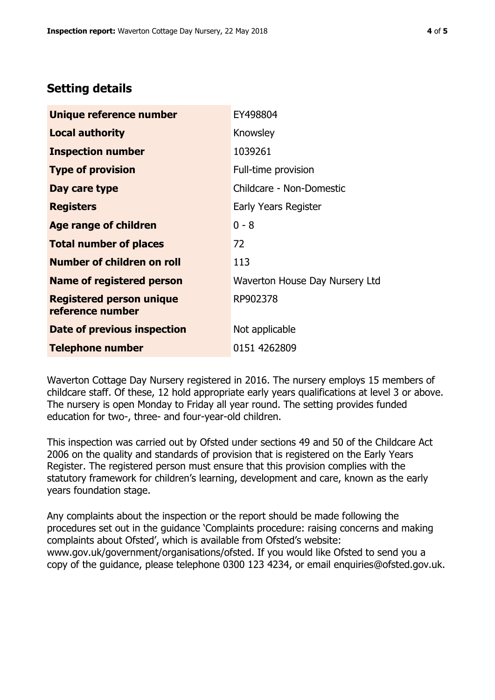## **Setting details**

| Unique reference number                             | EY498804                       |  |
|-----------------------------------------------------|--------------------------------|--|
| <b>Local authority</b>                              | Knowsley                       |  |
| <b>Inspection number</b>                            | 1039261                        |  |
| <b>Type of provision</b>                            | Full-time provision            |  |
| Day care type                                       | Childcare - Non-Domestic       |  |
| <b>Registers</b>                                    | Early Years Register           |  |
| <b>Age range of children</b>                        | $0 - 8$                        |  |
| <b>Total number of places</b>                       | 72                             |  |
| Number of children on roll                          | 113                            |  |
| Name of registered person                           | Waverton House Day Nursery Ltd |  |
| <b>Registered person unique</b><br>reference number | RP902378                       |  |
| Date of previous inspection                         | Not applicable                 |  |
| <b>Telephone number</b>                             | 0151 4262809                   |  |

Waverton Cottage Day Nursery registered in 2016. The nursery employs 15 members of childcare staff. Of these, 12 hold appropriate early years qualifications at level 3 or above. The nursery is open Monday to Friday all year round. The setting provides funded education for two-, three- and four-year-old children.

This inspection was carried out by Ofsted under sections 49 and 50 of the Childcare Act 2006 on the quality and standards of provision that is registered on the Early Years Register. The registered person must ensure that this provision complies with the statutory framework for children's learning, development and care, known as the early years foundation stage.

Any complaints about the inspection or the report should be made following the procedures set out in the guidance 'Complaints procedure: raising concerns and making complaints about Ofsted', which is available from Ofsted's website: www.gov.uk/government/organisations/ofsted. If you would like Ofsted to send you a copy of the guidance, please telephone 0300 123 4234, or email enquiries@ofsted.gov.uk.